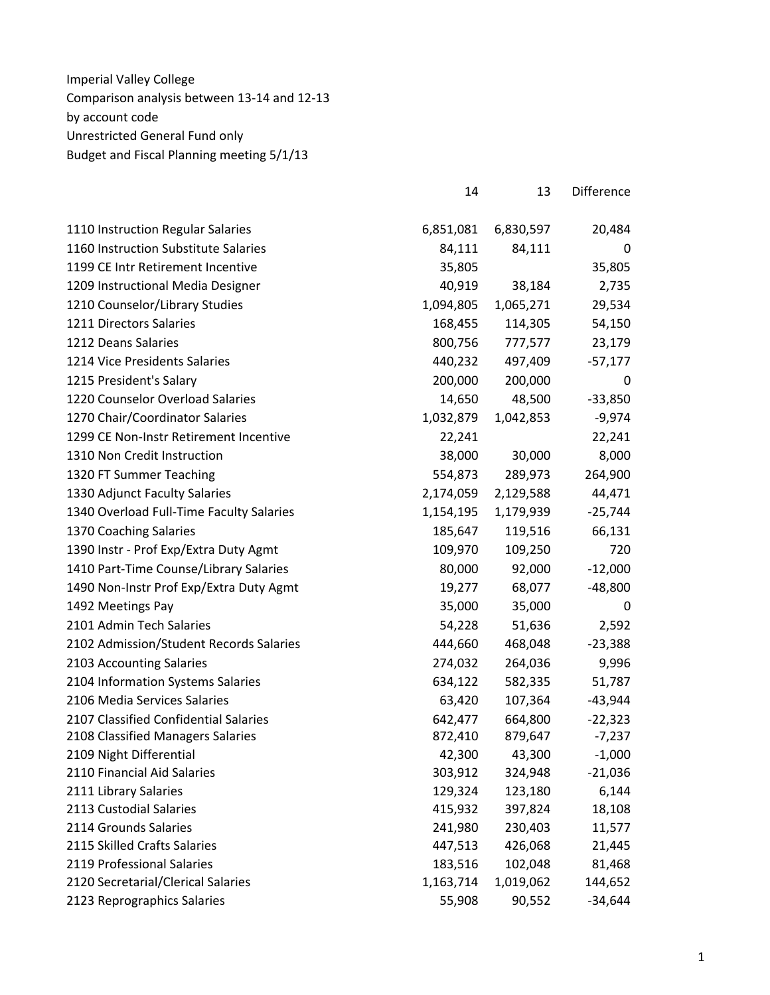| 1110 Instruction Regular Salaries        | 6,851,081 | 6,830,597 | 20,484    |
|------------------------------------------|-----------|-----------|-----------|
| 1160 Instruction Substitute Salaries     | 84,111    | 84,111    | 0         |
| 1199 CE Intr Retirement Incentive        | 35,805    |           | 35,805    |
| 1209 Instructional Media Designer        | 40,919    | 38,184    | 2,735     |
| 1210 Counselor/Library Studies           | 1,094,805 | 1,065,271 | 29,534    |
| 1211 Directors Salaries                  | 168,455   | 114,305   | 54,150    |
| 1212 Deans Salaries                      | 800,756   | 777,577   | 23,179    |
| 1214 Vice Presidents Salaries            | 440,232   | 497,409   | $-57,177$ |
| 1215 President's Salary                  | 200,000   | 200,000   | 0         |
| 1220 Counselor Overload Salaries         | 14,650    | 48,500    | $-33,850$ |
| 1270 Chair/Coordinator Salaries          | 1,032,879 | 1,042,853 | $-9,974$  |
| 1299 CE Non-Instr Retirement Incentive   | 22,241    |           | 22,241    |
| 1310 Non Credit Instruction              | 38,000    | 30,000    | 8,000     |
| 1320 FT Summer Teaching                  | 554,873   | 289,973   | 264,900   |
| 1330 Adjunct Faculty Salaries            | 2,174,059 | 2,129,588 | 44,471    |
| 1340 Overload Full-Time Faculty Salaries | 1,154,195 | 1,179,939 | $-25,744$ |
| 1370 Coaching Salaries                   | 185,647   | 119,516   | 66,131    |
| 1390 Instr - Prof Exp/Extra Duty Agmt    | 109,970   | 109,250   | 720       |
| 1410 Part-Time Counse/Library Salaries   | 80,000    | 92,000    | $-12,000$ |
| 1490 Non-Instr Prof Exp/Extra Duty Agmt  | 19,277    | 68,077    | $-48,800$ |
| 1492 Meetings Pay                        | 35,000    | 35,000    | 0         |
| 2101 Admin Tech Salaries                 | 54,228    | 51,636    | 2,592     |
| 2102 Admission/Student Records Salaries  | 444,660   | 468,048   | $-23,388$ |
| 2103 Accounting Salaries                 | 274,032   | 264,036   | 9,996     |
| 2104 Information Systems Salaries        | 634,122   | 582,335   | 51,787    |
| 2106 Media Services Salaries             | 63,420    | 107,364   | $-43,944$ |
| 2107 Classified Confidential Salaries    | 642,477   | 664,800   | $-22,323$ |
| 2108 Classified Managers Salaries        | 872,410   | 879,647   | $-7,237$  |
| 2109 Night Differential                  | 42,300    | 43,300    | $-1,000$  |
| 2110 Financial Aid Salaries              | 303,912   | 324,948   | $-21,036$ |
| 2111 Library Salaries                    | 129,324   | 123,180   | 6,144     |
| 2113 Custodial Salaries                  | 415,932   | 397,824   | 18,108    |
| 2114 Grounds Salaries                    | 241,980   | 230,403   | 11,577    |
| 2115 Skilled Crafts Salaries             | 447,513   | 426,068   | 21,445    |
| 2119 Professional Salaries               | 183,516   | 102,048   | 81,468    |
| 2120 Secretarial/Clerical Salaries       | 1,163,714 | 1,019,062 | 144,652   |
| 2123 Reprographics Salaries              | 55,908    | 90,552    | $-34,644$ |

14 13 Difference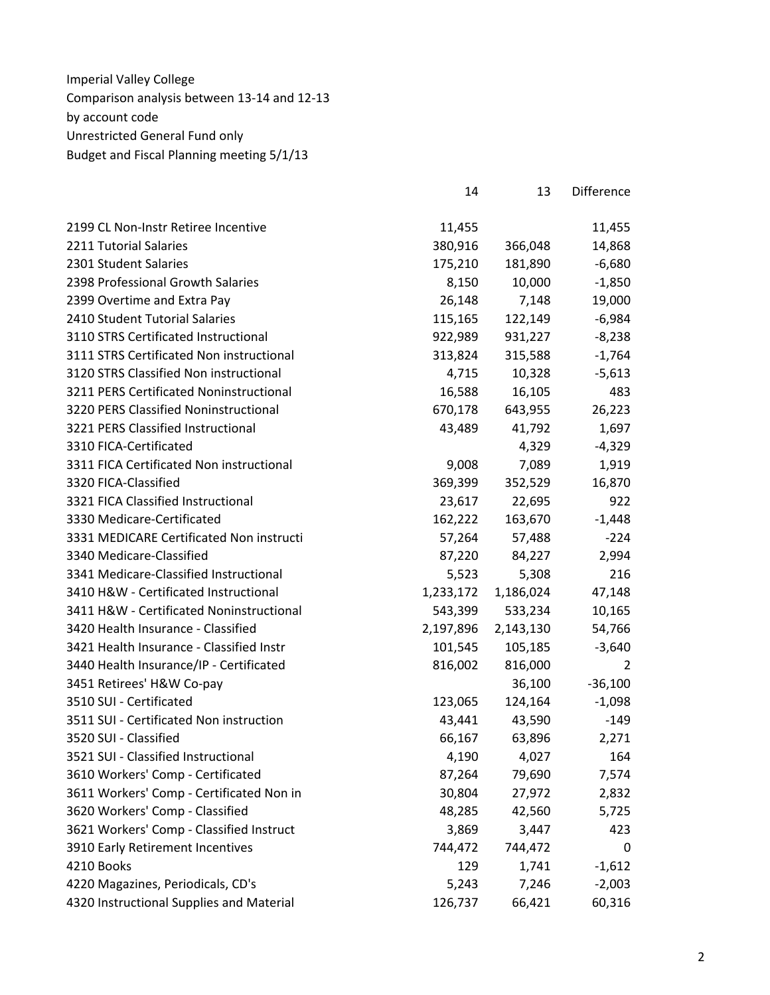|                                          | 14        | 13        | <b>Difference</b> |
|------------------------------------------|-----------|-----------|-------------------|
| 2199 CL Non-Instr Retiree Incentive      | 11,455    |           | 11,455            |
| 2211 Tutorial Salaries                   | 380,916   | 366,048   | 14,868            |
| 2301 Student Salaries                    | 175,210   | 181,890   | $-6,680$          |
| 2398 Professional Growth Salaries        | 8,150     | 10,000    | $-1,850$          |
| 2399 Overtime and Extra Pay              | 26,148    | 7,148     | 19,000            |
| 2410 Student Tutorial Salaries           | 115,165   | 122,149   | $-6,984$          |
| 3110 STRS Certificated Instructional     | 922,989   | 931,227   | $-8,238$          |
| 3111 STRS Certificated Non instructional | 313,824   | 315,588   | $-1,764$          |
| 3120 STRS Classified Non instructional   | 4,715     | 10,328    | $-5,613$          |
| 3211 PERS Certificated Noninstructional  | 16,588    | 16,105    | 483               |
| 3220 PERS Classified Noninstructional    | 670,178   | 643,955   | 26,223            |
| 3221 PERS Classified Instructional       | 43,489    | 41,792    | 1,697             |
| 3310 FICA-Certificated                   |           | 4,329     | $-4,329$          |
| 3311 FICA Certificated Non instructional | 9,008     | 7,089     | 1,919             |
| 3320 FICA-Classified                     | 369,399   | 352,529   | 16,870            |
| 3321 FICA Classified Instructional       | 23,617    | 22,695    | 922               |
| 3330 Medicare-Certificated               | 162,222   | 163,670   | $-1,448$          |
| 3331 MEDICARE Certificated Non instructi | 57,264    | 57,488    | $-224$            |
| 3340 Medicare-Classified                 | 87,220    | 84,227    | 2,994             |
| 3341 Medicare-Classified Instructional   | 5,523     | 5,308     | 216               |
| 3410 H&W - Certificated Instructional    | 1,233,172 | 1,186,024 | 47,148            |
| 3411 H&W - Certificated Noninstructional | 543,399   | 533,234   | 10,165            |
| 3420 Health Insurance - Classified       | 2,197,896 | 2,143,130 | 54,766            |
| 3421 Health Insurance - Classified Instr | 101,545   | 105,185   | $-3,640$          |
| 3440 Health Insurance/IP - Certificated  | 816,002   | 816,000   | $\overline{2}$    |
| 3451 Retirees' H&W Co-pay                |           | 36,100    | $-36,100$         |
| 3510 SUI - Certificated                  | 123,065   | 124,164   | $-1,098$          |
| 3511 SUI - Certificated Non instruction  | 43,441    | 43,590    | $-149$            |
| 3520 SUI - Classified                    | 66,167    | 63,896    | 2,271             |
| 3521 SUI - Classified Instructional      | 4,190     | 4,027     | 164               |
| 3610 Workers' Comp - Certificated        | 87,264    | 79,690    | 7,574             |
| 3611 Workers' Comp - Certificated Non in | 30,804    | 27,972    | 2,832             |
| 3620 Workers' Comp - Classified          | 48,285    | 42,560    | 5,725             |
| 3621 Workers' Comp - Classified Instruct | 3,869     | 3,447     | 423               |
| 3910 Early Retirement Incentives         | 744,472   | 744,472   | 0                 |
| 4210 Books                               | 129       | 1,741     | $-1,612$          |
| 4220 Magazines, Periodicals, CD's        | 5,243     | 7,246     | $-2,003$          |
| 4320 Instructional Supplies and Material | 126,737   | 66,421    | 60,316            |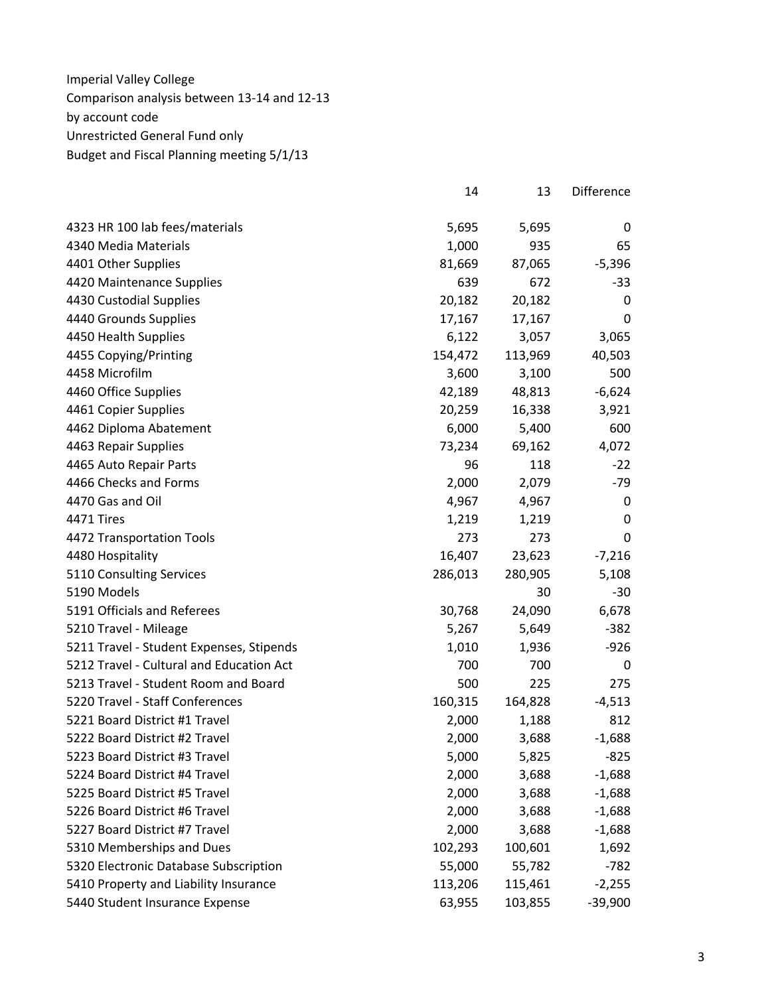| 4323 HR 100 lab fees/materials           | 5,695   | 5,695   | 0         |
|------------------------------------------|---------|---------|-----------|
| 4340 Media Materials                     | 1,000   | 935     | 65        |
| 4401 Other Supplies                      | 81,669  | 87,065  | $-5,396$  |
| 4420 Maintenance Supplies                | 639     | 672     | -33       |
| 4430 Custodial Supplies                  | 20,182  | 20,182  | 0         |
| 4440 Grounds Supplies                    | 17,167  | 17,167  | 0         |
| 4450 Health Supplies                     | 6,122   | 3,057   | 3,065     |
| 4455 Copying/Printing                    | 154,472 | 113,969 | 40,503    |
| 4458 Microfilm                           | 3,600   | 3,100   | 500       |
| 4460 Office Supplies                     | 42,189  | 48,813  | $-6,624$  |
| 4461 Copier Supplies                     | 20,259  | 16,338  | 3,921     |
| 4462 Diploma Abatement                   | 6,000   | 5,400   | 600       |
| 4463 Repair Supplies                     | 73,234  | 69,162  | 4,072     |
| 4465 Auto Repair Parts                   | 96      | 118     | $-22$     |
| 4466 Checks and Forms                    | 2,000   | 2,079   | $-79$     |
| 4470 Gas and Oil                         | 4,967   | 4,967   | 0         |
| 4471 Tires                               | 1,219   | 1,219   | 0         |
| 4472 Transportation Tools                | 273     | 273     | 0         |
| 4480 Hospitality                         | 16,407  | 23,623  | $-7,216$  |
| 5110 Consulting Services                 | 286,013 | 280,905 | 5,108     |
| 5190 Models                              |         | 30      | $-30$     |
| 5191 Officials and Referees              | 30,768  | 24,090  | 6,678     |
| 5210 Travel - Mileage                    | 5,267   | 5,649   | $-382$    |
| 5211 Travel - Student Expenses, Stipends | 1,010   | 1,936   | $-926$    |
| 5212 Travel - Cultural and Education Act | 700     | 700     | 0         |
| 5213 Travel - Student Room and Board     | 500     | 225     | 275       |
| 5220 Travel - Staff Conferences          | 160,315 | 164,828 | $-4,513$  |
| 5221 Board District #1 Travel            | 2,000   | 1,188   | 812       |
| 5222 Board District #2 Travel            | 2,000   | 3,688   | $-1,688$  |
| 5223 Board District #3 Travel            | 5,000   | 5,825   | $-825$    |
| 5224 Board District #4 Travel            | 2,000   | 3,688   | $-1,688$  |
| 5225 Board District #5 Travel            | 2,000   | 3,688   | $-1,688$  |
| 5226 Board District #6 Travel            | 2,000   | 3,688   | $-1,688$  |
| 5227 Board District #7 Travel            | 2,000   | 3,688   | $-1,688$  |
| 5310 Memberships and Dues                | 102,293 | 100,601 | 1,692     |
| 5320 Electronic Database Subscription    | 55,000  | 55,782  | $-782$    |
| 5410 Property and Liability Insurance    | 113,206 | 115,461 | $-2,255$  |
| 5440 Student Insurance Expense           | 63,955  | 103,855 | $-39,900$ |

14 13 Difference